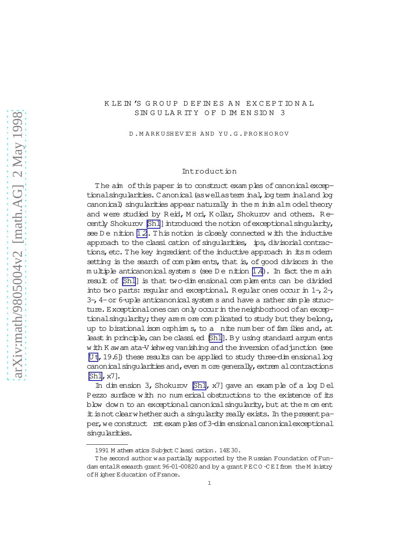## K LE IN 'S GROUP DEFINES AN EXCEPTIONAL SIN G U LA R IT Y O F D IM E N SIO N 3

D .M A R K U SH EV IC H A N D Y U .G . PRO K H O RO V

### Introduction

The aim of this paper is to construct examples of canonical exceptionalsingularities. Canonical (aswellasterm inal, bg term inaland bg canonical) singularities appear naturally in the m inim alm odel theory and were studied by R eid, M ori, K ollar, Shokurov and others. R e-cently Shokurov [\[Sh1](#page-12-0)] introduced the notion of exceptional singularity, see D e nition 12. This notion is closely connected with the inductive approach to the classi cation of singularities, ips, divisorial contractions, etc. The key ingredient of the inductive approach in itsm odern setting is the search of complements, that is, of good divisors in the  $m$  ultiple anticanonical system s (see D e nition  $1.4$ ). In fact the m ain result of [\[Sh1\]](#page-12-0) is that two-dim ensional com plem ents can be divided into two parts: regular and exceptional. R eqular ones occur in  $1-$ ,  $2-$ ,  $3-$ ,  $4$ -or  $6$ -uple anticanonical system s and have a rather simple structure. Exceptionalones can only occur in the neighborhood of an exceptional singularity; they arem ore complicated to study but they belong, up to birational isom orphism  $s$ , to a nite num ber of fam ilies and, at least in principle, can be classi ed [\[Sh1\]](#page-12-0). By using standard argum ents with K awam ata-V iehweg vanishing and the inversion of adjunction (see [\[U t](#page-12-0), 19.6]) these results can be applied to study three-dim ensional  $log$ canonical singularities and, even m ore generally, extrem alcontractions [\[Sh1,](#page-12-0)x7].

In dim ension 3, Shokurov [\[Sh1](#page-12-0), x7] gave an exam ple of a log D el Pezzo surface with no num erical obstructions to the existence of its blow down to an exceptional canonical singularity, but at the m om ent it is not clearwhether such a singularity really exists. In the present paper, we construct rst exam ples of 3-dim ensional canonical exceptional singularities.

<sup>1991</sup> M athem atics Subject C lassi cation. 14E 30.

The second author was partially supported by the Russian Foundation of Fundam entalR esearch grant 96-01-00820 and by a grant PECO  $-CE$  I from the M inistry ofH igher Education ofFrance.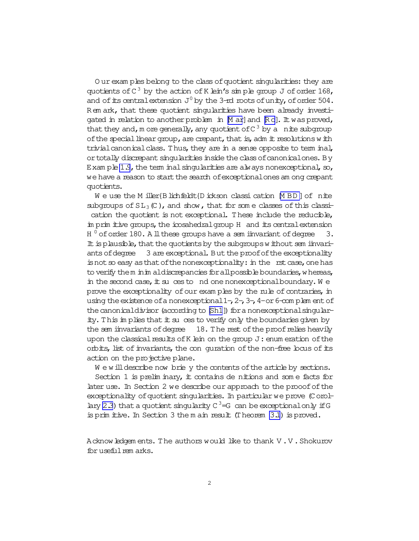Our exam ples belong to the class of quotient singularities: they are quotients of  $C^3$  by the action of K lein's simple group J of order 168, and of its central extension  $J^0$  by the 3-rd roots of unity, of order 504. Rem ark, that these quotient singularities have been already investigated in relation to another problem in M arl and Rol. It was proved, that they and, m ore generally, any quotient of  $C^3$  by a nite subgroup of the special linear group, are crepant, that is, adm it resolutions with trivial canonical class. Thus, they are in a sense opposite to term inal, or totally discrepant singularities inside the class of canonical ones. By Example 1.9, the term inal singularities are always nonexceptional, so, we have a reason to start the search of exceptional ones am ong crepant quotients.

We use the M iller  $\beta$  lichfieldt $\beta$  ickson classication MBD of nite subgroups of  $SL_3(\mathbb{C})$ , and show, that for some classes of this classication the quotient is not exceptional. These include the reducible, in prin itive groups, the icosahedral group H and its central extension H<sup>0</sup> of order 180. A ll these groups have a sem invariant of degree 3. It is plausible, that the quotients by the subgroups without sem invariants of degree 3 are exceptional. But the proof of the exceptionality  $\frac{1}{2}$  is not so easy as that of the nonexceptionality: in the rst case, one has to verify them inim aldiscrepancies for all possible boundaries, whereas, in the second case, it su ces to nd one nonexceptional boundary. We prove the exceptionality of our exam ples by the rule of contraries, in using the existence of a nonexceptional  $1-$ ,  $2-$ ,  $3-$ ,  $4$ -or  $6$ -com plem ent of the canonical divisor (according to [Sh1]) for a nonexceptional singularity. This in plies that it su ces to verify only the boundaries given by the sem invariants of degree 18. The rest of the proof relies heavily upon the classical results of K lein on the group J: enum eration of the orbits, list of invariants, the con quration of the non-free bous of its action on the projective plane.

We will describe now brie y the contents of the article by sections.

Section 1 is preliminary, it contains de nitions and some facts for later use. In Section 2 we describe our approach to the prooof of the exceptionality of quotient singularities. In particular we prove (Corollary 2.3) that a quotient singularity  $C^3 = G$  can be exceptional only if G is primitive. In Section 3 the main result (Theorem 3.1) is proved.

A cknow ledgem ents. The authors would like to thank V.V. Shokurov for useful rem arks.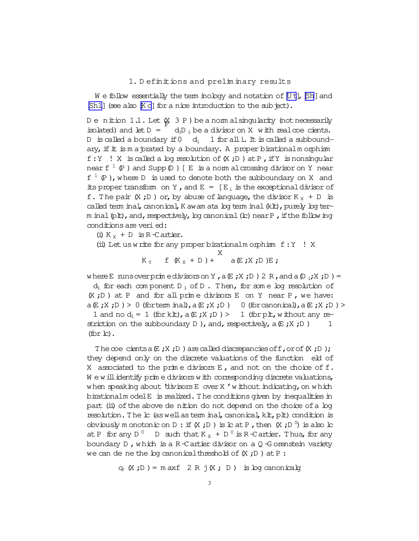### 1. Definitions and preliminary results

<span id="page-2-0"></span>We follow essentially the term inology and notation of [Ut], [Sh] and  $[Sh1]$  (see also  $[Ko]$  for a nice introduction to the sub ject).

Denition 1.1. Let  $\&$  3 P ) be a norm alsingularity (not necessarily isolated) and let  $D =$  $d_iD_i$  be a divisor on X with real coe cients. 1 for all i. It is called a subbound-D is called a boundary if  $0$  d; ary, if  $\pm$  is  $m$  a prated by a boundary. A proper birational  $m$  orphism f: Y ! X is called a log resolution of  $(X, D)$  at P, if Y is nonsingular near  $f^{-1}(P)$  and Supp  $(D)$  [ E is a norm al crossing divisor on Y near  $f^{-1}(P)$ , where D is used to denote both the subboundary on X and its proper transform on Y, and E =  $[E_i]$  is the exceptional divisor of f. The pair  $(X;D)$  or, by abuse of language, the divisor  $K_X + D$  is called term inal, canonical, K awam ata bo term inal (klt), purely bo term inal (plt), and, respectively, bg canonical (b) near P, if the following conditions are veri ed:

(i)  $K_X + D$  is R-Cartier.

(ii) Let us write for any proper birationalm orphism  $f:Y$  ! X X

$$
K_Y \t f(K_X + D) + a(E; X; D)E;
$$

where E runs over primedivisors on Y, a  $E: X: D$  ) 2 R, and a  $D_i: X: D$  ) =

 $d_i$  for each component  $D_i$  of  $D$ . Then, for some log resolution of  $(X, D)$  at P and for all prime divisors E on Y near P, we have:  $a(E;X;D) > 0$  (for term inal),  $a(E;X;D) = 0$  (for canonical),  $a(E;X;D) > 0$ 1 and no  $d_i = 1$  (for klt),  $a \notin jX$ ;  $D$ ) > 1 (for plt, w ithout any restriction on the subboundary  $D$ ), and, respectively,  $a(E;X;D)$ 1  $(for L)$ .

The coe cients a  $(E; X; D)$  are called discrepancies of  $f$ , or of  $(X; D)$ ; they depend only on the discrete valuations of the function eld of X associated to the prime divisors  $E$ , and not on the choice of  $f$ . We will identify prime divisors with corresponding discrete valuations, when speaking about divisors E over X' without indicating, on which birationalm odelE is realized. The conditions given by inequalities in part (ii) of the above de nition do not depend on the choice of a log resolution. The lc (as well as term inal, canonical, klt, plt) condition is obviously m onotonic on D : if  $(X, D)$  is  $L$  at P, then  $(X, D)$  is also  $L$ at P for any D<sup>0</sup> D such that  $K_X + D^0$  is R-C artier. Thus, for any boundary  $D$ , which is a R-C artier divisor on a Q-G orenstein variety we can de ne the  $log$  canonical threshold of  $(X; D)$  at P:

 $G_P(X;D) = \text{maxf} 2 R j(X; D)$  is log canonicalg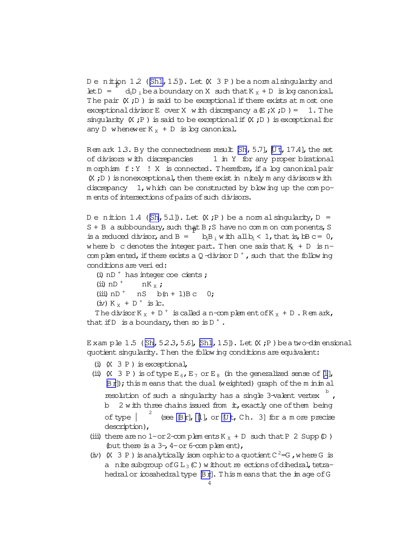<span id="page-3-0"></span>D e nition 1.2 ([\[Sh1,](#page-12-0)1.5]). Let (X 3 P ) be a norm alsingularity and let  $D = \frac{d_i D_i}{d_i D_i}$  be a boundary on X such that  $K_X + D$  is log canonical. The pair  $(X, D)$  is said to be exceptional if there exists at m ost one exceptionaldivisor E over X with discrepancy  $a(E;X;D) = 1$ . The singularity  $(X ; P)$  is said to be exceptional if  $(X ; D)$  is exceptional for any D whenewer  $K_X + D$  is log canonical.

Rem ark 1.3. By the connectedness result  $[Sh, 5.7]$ , [\[U t,](#page-12-0) 17.4], the set of divisors with discrepancies 1 in Y for any proper birational  $m$  orphism  $f:Y$  ! X is connected. Therefore, if a log canonical pair  $(X, D)$  is nonexceptional, then there exist in nitely m any divisors with discrepancy 1, which can be constructed by blowing up the compom ents of intersections of pairs of such divisors.

D e nition 1.4 ( $[\text{Sh}, 5.1]$ ). Let  $(X, P)$  be a norm al singularity,  $D =$  $S + B$  a subboundary, such that B; S have no comm on components, S is a reduced divisor, and B =  $\overline{b_1B_1}$  with all  $b_1 < 1$ , that is, bB c = 0, where b c denotes the integer part. Then one sais that  $K<sub>x</sub> + D$  is ncom plem ented, if there exists a Q -divisor D<sup>+</sup>, such that the following conditions are veried:

```
(i) nD^+ has integer coecients ;
   (iii) nD ^+ nK _x;
  (iii) nD<sup>+</sup> nS b(n + 1)B c 0;
  (iv) K _X + D ^+ is lc.
  The divisor K<sub>X</sub> + D<sup>+</sup> is called a n-complement of K<sub>X</sub> + D. Remark,
that if D is a boundary, then so is D^+.
```
E xam ple 1.5 ( $[\text{Sh}, 523, 5.6]$ ,  $[\text{Sh},1.5]$ ). Let  $(X, P)$  beatwo-dim ensional quotient singularity. Then the following conditions are equivalent:

- (i)  $(X \t3 P)$  is exceptional,
- (ii)  $(X \t3 P)$  is of type  $E_6$ ,  $E_7$  or  $E_8$  (in the generalized sense of [\[1\]](#page-12-0), [\[Br\]](#page-12-0)); this m eans that the dual (weighted) graph of the m inim al resolution of such a singularity has a single 3-valent vertex  $\overline{b}$ , b  $2$  with three chains issued from  $it$ , exactly one of them being of type | <sup>2</sup> (see  $[\exists r]$ ,  $[\![1]\!]$ , or  $[\![Ut, Ch, 3]\!]$  for a m ore precise description),
- (iii) there are no 1-or 2-com plem ents  $K_X + D$  such that P 2 Supp  $(D)$ ) (but there is a  $3-$ ,  $4$ -or 6-com plem ent),
- (iv)  $(X \t3 P)$  is analytically isom or phic to a quotient  $C^2 = G$ , where G is a nite subgroup of  $GL_3(\mathbb{C})$  w ithout reections of dihedral, tetra-hedral or icosahedraltype [\[Br\]](#page-12-0). This m eans that the im age of G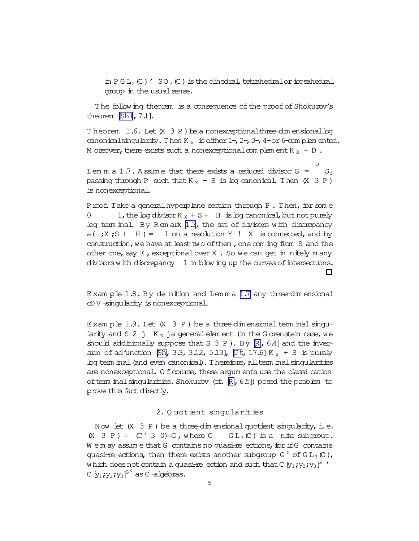<span id="page-4-0"></span>in  $PGL_2(\mathbb{C})$  '  $SO_3(\mathbb{C})$  is the dihedral, tetrahedral or icosahedral group in the usual sense.

The following theorem is a consequence of the proof of Shokurov's theorem  $[Sh1, 7.1]$ .

Theorem  $1.6$ . Let  $(X \ 3 \ P)$  be a nonexceptional three-dim ensional boy canonical singularity. Then  $K_x$  is either  $1 - 2 - 3 - 4 -$  or 6-com plem ented. M or ever, there exists such a nonexceptional complement  $K_X + D$ .

Lem m a 1.7. A ssum e that there exists a reduced divisor  $S = \begin{bmatrix} S_i \\ S_i \end{bmatrix}$ passing through P such that  $K_x + S$  is log canonical. Then  $(X \t3 P)$ is nonexceptional.

Proof. Take a general hyperplane section through P. Then, for some 1, the log divisor  $K_X + S + H$  is log canonical, but not purely  $log$  term inal. By Rem ark 1.3, the set of divisors with discrepancy  $a(jX; S + H) = 1$  on a resolution Y ! X is connected, and by construction, we have at least two of them, one coming from S and the other one, say E, exceptional over X . So we can get in nitely m any divisors with discrepancy 1 in blowing up the curves of intersections.  $\Box$ 

Example 1.8. By dention and Lemma 1.7 any three-dimensional cDV-singularity is nonexceptional.

Example 1.9. Let  $(X \t3 P)$  be a three-dimensional term inal singularity and S 2 j  $K_X$  ja general element (in the G orenstein case, we should additionally suppose that S 3 P). By  $R$ , 6.4] and the inversion of adjunction [Sh, 3.3, 3.12, 5.13], [Ut, 17.6] K<sub>X</sub> + S is purely bg term inal (and even canonical). Therefore, all term inal singularities are nonexceptional. O f course, these argum ents use the classi cation of tem inal singularities. Shokurov (cf. R, 6.5]) posed the problem to prove this fact directly.

## 2. Quotient singularities

Now let  $(X \t3 P)$  be a three-dim ensional quotient singularity, i.e.  $(X \t3 \tP) = (C^3 \t3 \t0) = G$ , where  $G \t G L_3(C)$  is a nite subgroup. We m ay assume that G contains no quasi-reections, for if G contains quasi-re ections, then there exists another subgroup  $G^0$  of  $GL_3(\mathbb{C})$ , which does not contain a quasi-re ection and such that C  $[y_1; y_2; y_3]^S$ . C  $[y_1$ ;  $y_2$ ;  $y_3$  $\int_0^0$  as C -algebras.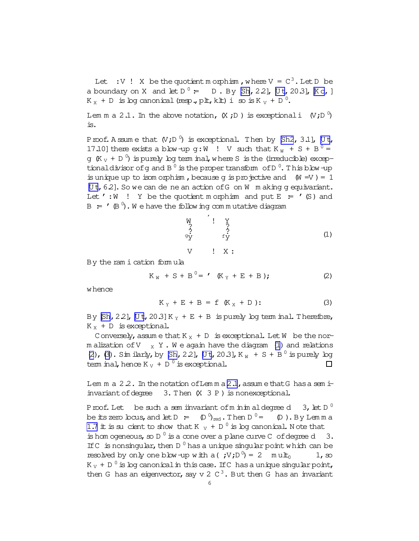<span id="page-5-0"></span>Let : V ! X be the quotient m orphism, where  $V = C<sup>3</sup>$ . Let D be a boundary on X and let  $D^0 = D$ . By  $[Sh, 2.2]$ , [Ut, 20.3],  $[K \circ, ]$  $K_X + D$  is by canonical (resp., plt, klt) i so is  $K_V + D^0$ .

Lem m a 2.1. In the above notation,  $(X ; D)$  is exceptionali  $(V ; D^0)$ is.

Proof. A ssum e that  $(V;D^0)$  is exceptional. Then by  $[Sh2, 3.1]$ ,  $[Ut,$ 17.10] there exists a blow-up g:W  $\cdot$  V such that K  $_W + S + B^0 =$ g  $(K_{V} + D^0)$  ispurely log term inal, where S is the (irreducible) exceptionaldivisor ofg and B  $^0$  is the proper transform of D  $^0$ . This blow-up is unique up to isom orphism, because g is projective and  $(W = V) = 1$  $[Ut, 6.2]$ . So we can de ne an action of G on W m aking g equivariant. Let ':W ! Y be the quotient m orphism and put  $E = ' (S)$  and  $\mathsf{B}$   $\colon$   $\mathsf{A}$   $\left(\mathsf{B}\right)$  . We have the following commutative diagram

$$
\begin{array}{ccc}\nW & ' & Y \\
? & ? & ? \\
? & ? & ? \\
Y & f & Y \\
V & ? & X: & Y\n\end{array}
$$
\n(1)

By the ram ication form ula

$$
K_{W} + S + B^{0} = ' (K_{Y} + E + B); \qquad (2)
$$

whence

$$
K_Y + E + B = f (K_X + D): \qquad (3)
$$

By  $[Sh, 2.2]$ ,  $[Ut, 20.3]$  K<sub>y</sub> + E + B is purely log term inal. Therefore,  $K_X + D$  is exceptional.

Conversely, assume that  $K_X + D$  is exceptional. Let W be the norm alization of V  $_X$  Y. We again have the diagram (1) and relations (2), (3). Sim ilarly, by  $[Sh, 22]$ , [Ut, 20.3], K<sub>W</sub> + S + B<sup>0</sup> is purely log term inal, hence K  $_V$  + D  $^0$  is exceptional.  $\Box$ 

Lem m a  $2.2$ . In the notation of Lem m a  $2.1$ , assume that G has a sem iinvariant of degree  $3.$  Then  $(X \ 3 \ P)$  is nonexceptional.

Proof. Let be such a sem invariant of m in im aldegree d 3, let  $D^0$ be its zero locus, and let D  $:=$   $\quad$   $\mathbb{D}$   $\mathbb{D}_{\text{red}}$  . Then D  $(D)$ . By Lem m a [1.7](#page-4-0) it is sucient to show that K  $_V$  + D<sup>0</sup> is log canonical. Note that is hom ogeneous, so D<sup> $0$ </sup> is a cone over a plane curve C of degree d 3. If  $C$  is nonsingular, then  $D^0$  has a unique singular point which can be resolved by only one blow-up with a( $;V;D^0$ ) = 2 m ult<sub>0</sub> 1, so K  $_{\rm V}$  + D  $^0$  is bg canonical in this case. If C has a unique singular point, then G has an eigenvector, say v 2  $C^3$ . But then G has an invariant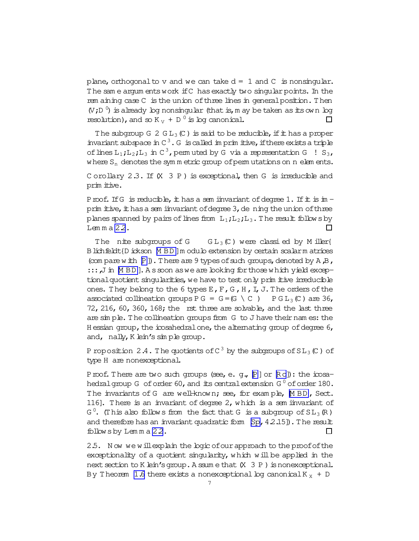<span id="page-6-0"></span>plane, orthogonal to v and we can take  $d = 1$  and C is nonsingular. The same argum ents work if C has exactly two singular points. In the rem aining case C is the union of three lines in general position. Then  $(V,D<sup>0</sup>)$  is already log nonsingular (that is, m ay be taken as its own log resolution), and so  $K_V + D^0$  is log canonical.  $\Box$ 

The subgroup G 2 G  $L_3$  (C) is said to be reducible, if it has a proper invariant subspace in  $C^3$ . G is called imprimitive, if there exists a triple of lines  $L_1$ ;  $L_2$ ;  $L_3$  in C<sup>3</sup>, permuted by G via a representation G ! S<sub>3</sub>, where  $S_n$  denotes the symm etric group of permutations on  $n$  elements.

Corollary 2.3. If  $(X \t3 P)$  is exceptional, then G is irreducible and prim itive.

Proof. If G is reducible, it has a sem invariant of degree 1. If it is in prim itive, it has a sem invariant of degree 3, de ning the union of three planes spanned by pairs of lines from  $L_1; L_2; L_3$ . The result follows by Lemma 2.2.  $\Box$ 

The nite subgroups of G  $GL_3(\mathbb{C})$  were classi ed by Miller{ B lichfeldt {D ickson [M BD] m odulo extension by certain scalarm atrices (com pare with  $[p]$ ). There are 9 types of such groups, denoted by A, B,  $::$ ; J in MBD]. As soon as we are boking for those which yield exceptional quotient singularities, we have to test only prim it ive irreducible ones. They belong to the 6 types  $E$ ,  $F$ ,  $G$ ,  $H$ ,  $I$ ,  $J$ . The orders of the associated collineation qroups  $PG = G = (G \setminus C)$   $PGL_3(C)$  are 36, 72, 216, 60, 360, 168; the rst three are solvable, and the last three are simple. The collineation groups from G to J have their names: the H essian group, the icosahedral one, the alternating group of degree  $6$ , and, nally, K lein's simple group.

P roposition 2.4. The quotients of  $C^3$  by the subgroups of  $SL_3(\mathbb{C})$  of type H are nonexceptional.

Proof. There are two such groups (see, e. g., P] or Ro]): the icosahedral group G of order 60, and its central extension  $G^0$  of order 180. The invariants of G are well-known; see, for example, MBD, Sect. 116]. There is an invariant of degree 2, which is a sem invariant of  $G^0$ . (This also follows from the fact that G is a subgroup of  $SL_3(\mathbb{R})$ ) and therefore has an invariant quadratic form  $[Sp, 4.2.15]$ . The result follows by Lemma 22.  $\Box$ 

2.5. Now we will explain the logic of our approach to the proof of the exceptionality of a quotient singularity, which will be applied in the next section to K lein's group. A ssum e that (X 3 P) is nonexceptional. By Theorem 1.6 there exists a nonexceptional log canonical  $K_X + D$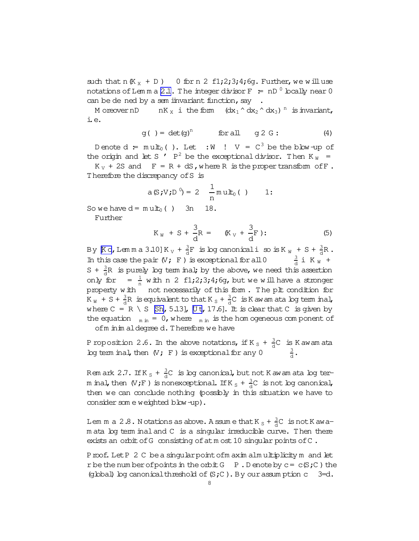<span id="page-7-0"></span>such that  $n(K_X + D)$  0 for n 2 f1; 2; 3; 4; 6q. Further, we will use notations of Lemma [2.1.](#page-5-0) The integer divisor  $F = nD^0$  locally near 0 can be de ned by a sem invariant function, say

Moreover nD  $nK_X$  i the form  $(dx_1 \wedge dx_2 \wedge dx_3)$ <sup>n</sup> is invariant, i.e.

$$
g( ) = det(g)n \tfor all \t g 2 G: \t(4)
$$

D enote  $d = \text{mult}_0( )$ . Let  $:W : V = C^3$  be the blow-up of the origin and let S  $'$  P<sup>2</sup> be the exceptional divisor. Then K<sub>W</sub> =

 $K_V$  + 2S and  $F = R + dS$ , where R is the proper transform of F. Therefore the discrepancy ofS is

$$
a(S;V;D^0) = 2 \frac{1}{n} m u L_0()
$$
 1:

So we have  $d = m u t_0$  ( ) 3n 18.

Further

$$
K_W + S + \frac{3}{d}R = \left(K_V + \frac{3}{d}F\right)
$$
 (5)

By  $\mathbb{K}$  o, Lemma 3.10] K  $_{\mathrm{V}}$  +  $\frac{3}{\mathrm{d}}$  $\frac{3}{d}F$  is boy canonicali so is K  $_{W}$  + S +  $\frac{3}{d}$  $\frac{3}{d}R$ . In this case the pair  $(V;F)$  is exceptional for all  $0$  $\frac{3}{d}$  i K  $_W$  +  $S + \frac{3}{4}$  $\frac{3}{d}R$  is purely boy term inal; by the above, we need this assertion only for  $=\frac{1}{n}$  $\frac{1}{n}$  with n 2 f1;2;3;4;6g, but we will have a stronger property with not necessarily of this form. The plt condition for  $K_{W}$  + S +  $\frac{3}{d}$  $\frac{3}{d}R$  is equivalent to that K  $_S$  +  $\frac{3}{d}$  $\frac{3}{d}C$  is K aw am ata log term inal, where  $C = R \setminus S$  [\[Sh,](#page-12-0) 5.13], [\[U t,](#page-12-0) 17.6]. It is clear that C is given by the equation  $m_{\text{min}} = 0$ , where  $m_{\text{min}}$  is the hom ogeneous com ponent of ofm in im aldegree d. Therefore we have

P roposition 2.6. In the above notations, if K  $\rm _S$  +  $\rm _d^3$  $\frac{3}{d}$ C is K awam ata log term inal, then  $(V;F)$  is exceptional for any  $0$ 3 d .

Rem ark 2.7. If K  $_\textrm{S}$  +  $\frac{3}{\textrm{d}}$  $\frac{3}{d}$ C is bg canonical, but not K awam ata log term inal, then  $(N;F)$  is nonexceptional. If K  $_S$  +  $\frac{3}{d}$  $\frac{3}{d}$ C is not bg canonical, then we can conclude nothing (possibly in this situation we have to consider som e weighted blow-up).

Lem m a 2.8. Notations as above. A ssum e that K  $_\mathrm{S}$  +  $\frac{3}{\mathrm{d}}$  $\frac{3}{d}$ C isnotKawam ata bg term inaland C is a singular irreducible curve. Then there exists an orbit of G consisting of at m ost 10 singular points of C.

Proof. Let P 2 C be a singular point of m axim alm ultiplicity m and let r be the num ber of points in the orbit  $G$   $P$ . D enote by  $c = c(S;C)$  the (global) log canonical threshold of  $(S;C)$ . By our assum ption  $c = 3=d$ .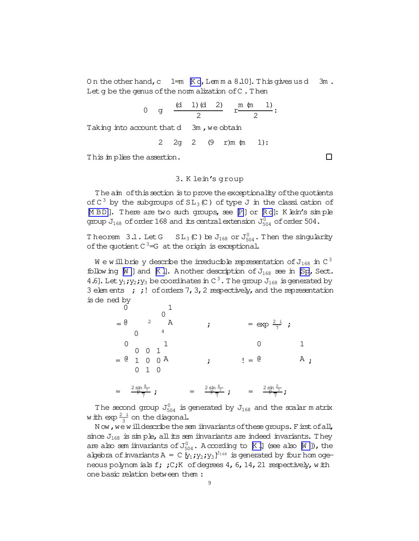<span id="page-8-0"></span>On the other hand,  $c = 1$ =m  $K \circ$ , Lemma 8.10]. This gives us d  $3m$ . Let q be the genus of the norm alization of C. Then

0 g 
$$
\frac{(d \quad 1) (d \quad 2)}{2}
$$
 r  $\frac{m (m \quad 1)}{2}$ :  
Taking into account that d 3m, we obtain  
2 2 g 2 (9 r)m (m \quad 1):

This in plies the assertion.

# 3. K lein's group

The aim of this section is to prove the exceptionality of the quotients of  $C^3$  by the subgroups of  $SL_3(\mathbb{C})$  of type J in the classi cation of MBD]. There are two such groups, see P] or Ro]: K bin's simple group  $J_{168}$  of order 168 and its central extension  $J_{504}^0$  of order 504.

Theorem 3.1. Let G  $SL_3(\mathbb{C})$  be  $J_{168}$  or  $J_{504}^0$ . Then the singularity of the quotient  $C^3 = G$  at the origin is exceptional.

 $\texttt{W}$ e will brie y describe the irreducible representation of  $\texttt{J}_{168}$  in C  $^3$ following  $[M]$  and  $[K]$ . A nother description of  $J_{168}$  see in [Sp, Sect. 4.6]. Let  $y_1$ ;  $y_2$ ;  $y_3$  be coordinates in C<sup>3</sup>. The group  $J_{168}$  is generated by 3 elements  $\cdot$  ; ! of orders 7, 3, 2 respectively, and the representation is de ned by

The second group  $J_{504}^0$  is generated by  $J_{168}$  and the scalar m atrix w ith  $\exp{\frac{2-i}{3}}$  on the diagonal.

Now, we will describe the sem invariants of these groups. First of all, since  $J_{168}$  is simple, all its sem invariants are indeed invariants. They are also sem invariants of  $J_{504}^0$ . A coording to [K I] (see also [W ]), the algebra of invariants  $A = C[y_1; y_2; y_3]^{J_{168}}$  is generated by four hom ogeneous polynom ials f; ;C;K of degrees 4, 6, 14, 21 respectively, with one basic relation between them:

 $\Box$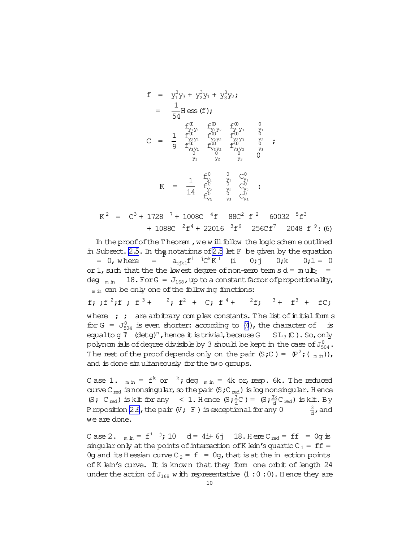<span id="page-9-0"></span>
$$
f = y_1^3 y_3 + y_2^3 y_1 + y_3^3 y_2;
$$
\n
$$
= \frac{1}{54} H \operatorname{ess} (f);
$$
\n
$$
f_{y_1 y_1}^{(0)} f_{y_1 y_2}^{(0)} f_{y_1 y_3}^{(0)} f_{y_1 y_3}^{(0)} f_{y_2 y_1}^{(0)} f_{y_2 y_2}^{(0)} f_{y_2 y_3}^{(0)} f_{y_3 y_3}^{(0)} f_{y_3 y_3}^{(0)} f_{y_3 y_3}^{(0)} f_{y_3 y_3}^{(0)} f_{y_3 y_3}^{(0)} f_{y_3 y_3}^{(0)} f_{y_3 y_3}^{(0)} f_{y_3 y_3}^{(0)} f_{y_3 y_3}^{(0)} f_{y_3 y_3}^{(0)} f_{y_3 y_3}^{(0)} f_{y_3 y_3}^{(0)} f_{y_3 y_3}^{(0)} f_{y_3}^{(0)} f_{y_3}^{(0)} f_{y_3}^{(0)} f_{y_3}^{(0)} f_{y_3}^{(0)} f_{y_3}^{(0)} f_{y_3}^{(0)} f_{y_3}^{(0)} f_{y_3}^{(0)} f_{y_3}^{(0)} f_{y_3}^{(0)} f_{y_3}^{(0)} f_{y_3}^{(0)} f_{y_3}^{(0)} f_{y_3}^{(0)} f_{y_3}^{(0)} f_{y_3}^{(0)} f_{y_3}^{(0)} f_{y_3}^{(0)} f_{y_3}^{(0)} f_{y_3}^{(0)} f_{y_3}^{(0)} f_{y_3}^{(0)} f_{y_3}^{(0)} f_{y_3}^{(0)} f_{y_3}^{(0)} f_{y_3}^{(0)} f_{y_3}^{(0)} f_{y_3}^{(0)} f_{y_3}^{(0)} f_{y_3}^{(0)} f_{y_3}^{(0)} f_{y_3}^{(0)} f_{y_3}^{(0)} f_{y_3}^{(0)} f_{y_3}^{(0)} f_{y_3}^{(0)} f_{y_3}^{(0)} f_{y_3}^{(0)} f_{y_3}^{(0)} f_{y_3}^{(0)} f_{y_3}^{(0)} f_{y_3}^{(0)} f_{
$$

 $K^2$  =  $C^3$  + 1728 <sup>7</sup> + 1008C <sup>4</sup>f 88C<sup>2</sup> f<sup>2</sup> 60032 <sup>5</sup>f<sup>3</sup> + 1088C  ${}^{2}E^{4}$  + 22016  ${}^{3}E^{6}$  256Cf<sup>7</sup> 2048 f  ${}^{9}$ : (6)

In the proof of the Theorem, we will follow the logic scheme outlined in Subsect. 2.5. In the notations of 2.5 let F be given by the equation  $a_{ijk}f^{i}$ <sup>j</sup>C<sup>k</sup>K<sup>1</sup> (i  $= 0$ , where  $=$   $\,$  $0; \dagger$  $0; k$  $0:1 = 0$ or 1, such that the the lowest degree of non-zero term s  $d = m u t_0$  = deg  $_{m in}$  18. For G =  $J_{168}$ , up to a constant factor of proportionality,  $<sub>m</sub>$  in can be only one of the following functions:</sub>

f; ;f<sup>2</sup>;f; f<sup>3</sup>+ <sup>2</sup>; f<sup>2</sup> + C; f<sup>4</sup>+ <sup>2</sup>f; <sup>3</sup>+ f<sup>3</sup> +  $FC:$ where  $\quad$ ; are arbitrary complex constants. The list of initial form s for G =  $J_{504}^0$  is even shorter: according to (4), the character of is equalto g  $\mathcal{V}$  (detg)<sup>n</sup>, hence it is trivial, because G SL<sub>3</sub> (C). So, only polynom ials of degree divisible by 3 should be kept in the case of  $J_{504}^0$ . The rest of the proof depends only on the pair  $(S;C) = (P^2; (m \text{ in})),$ and is done simultaneously for the two groups.

Case 1.  $_{min}$  =  $f^k$  or  $k$ ; deg  $_{min}$  = 4k or, resp. 6k. The reduced curve  $C_{red}$  is nonsingular, so the pair  $(S,C_{red})$  is log nonsingular. Hence (S; C<sub>red</sub>) is klt for any < 1. Hence  $(S; \frac{3}{d}C) = (S; \frac{3k}{d}C_{red})$  is klt. By P roposition 2.6, the pair  $(V; F)$  is exceptional for any 0  $\frac{3}{4}$ , and we are done.

C ase 2.  $_{min} = f^i$  <sup>j</sup>; 10 d = 4i+ 6j 18. Here C<sub>red</sub> = ff = 0g is singular only at the points of intersection of K lein's quartic  $C_1 = ff =$ Og and its H essian curve  $C_2 = f = 0$ g, that is at the in ection points of K lein's curve. It is known that they form one orbit of length 24 under the action of  $J_{168}$  with representative  $(1:0:0)$ . Hence they are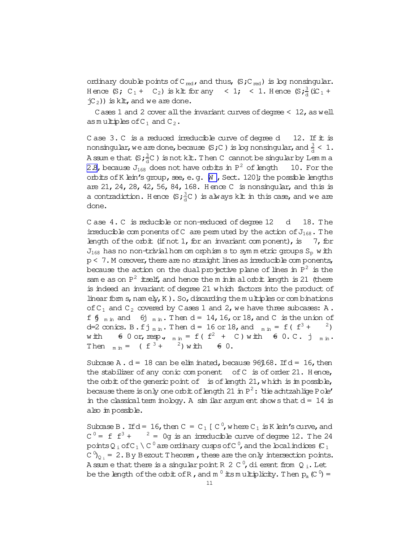ordinary double points of C<sub>red</sub>, and thus,  $(S;C_{red})$  is log nonsingular. Hence  $(S; C_1 + C_2)$  is kit for any  $\leq 1$ ;  $\leq 1$ . Hence  $(S; \frac{3}{d}$  (iC<sub>1</sub> +  $\dot{C}_2$ )) is klt, and we are done.

Cases 1 and 2 cover all the invariant curves of degree  $\leq$  12, as well as multiples of  $C_1$  and  $C_2$ .

C ase  $3. C$  is a reduced irreducible curve of degree d 12. If it is nonsingular, we are done, because  $(S,C)$  is log nonsingular, and  $\frac{3}{d} < 1$ . Assume that  $(S; \frac{3}{d}C)$  is not klt. Then C cannot be singular by Lemma [2.8,](#page-7-0) because  $J_{168}$  does not have orbits in  $P^2$  of length 10. For the orbits of K lein's group, see, e.g. M, Sect. 120]; the possible lengths are 21, 24, 28, 42, 56, 84, 168. Hence C is nonsingular, and this is a contradiction. Hence  $(s, \frac{3}{4}C)$  is always klt in this case, and we are done.

C ase 4. C is reducible or non-reduced of degree 12 d 18. The irreducible com ponents of C are perm uted by the action of  $J_{168}$ . The length of the orbit (if not 1, for an invariant com ponent), is  $7$ , for  $J_{168}$  has no non-trivial hom om orphism s to symmetric groups  $S_p$  with  $p < 7$ . M oreover, there are no straight lines as irreducible com ponents, because the action on the dual projective plane of lines in  ${\rm P}^2$  is the sam e as on  $P^2$  itself, and hence the m inim alorbit length is 21 (there is indeed an invariant of degree 21 which factors into the product of linear form s, nam ely, K  $)$ . So, discarding the m ultiples or combinations of  $C_1$  and  $C_2$  covered by Cases 1 and 2, we have three subcases: A. f  $\oint$  <sub>m in</sub> and  $\oint$  <sub>m in</sub>. Then d = 14, 16, or 18, and C is the union of d=2 conics. B.fj<sub>m in</sub>. Then  $d = 16$  or 18, and  $_{min} = f(f^3 + 2)$ with  $60$  or, resp.,  $_{min} = f(f^2 + C)$  with  $60.C.j$  min. Then  $_{min} = (f^{3} + 2)$  with  $f^{2} = 0$ .

Subcase A.  $d = 18$  can be elim inated, because 96 $\frac{1}{6}$ 68. If  $d = 16$ , then the stabilizer of any conic component of  $C$  is of order 21. Hence, the orbit of the generic point of is of length  $21$ , which is im possible, because there is only one orbit of length 21 in P $^2\colon$  die achtzahlige Pole $'$ in the classical term inology. A sim ilar argum ent shows that  $d = 14$  is also im possible.

Subcase B. If  $d = 16$ , then  $C = C_1 [C^0]$ , where  $C_1$  is K lein's curve, and  $C^0 = f f^3 +$   $2 = 0g$  is an irreducible curve of degree 12. The 24 points Q  $_{{\rm i}}$  of C  $_1$  \ C  $^0$  are ordinary cusps of C  $^0$  , and the local indices (C  $_1$ C  $^0$ <sub>Q<sub>i</sub></sub> = 2. By Bezout T heorem, these are the only intersection points. A ssum e that there is a singular point R 2 C  $^0$ , dierent from Q  $_{\rm i}$ . Let be the length of the orbit of R , and m  $^0$  its multiplicity. Then  $\rm p_a$  (C  $^0)$  =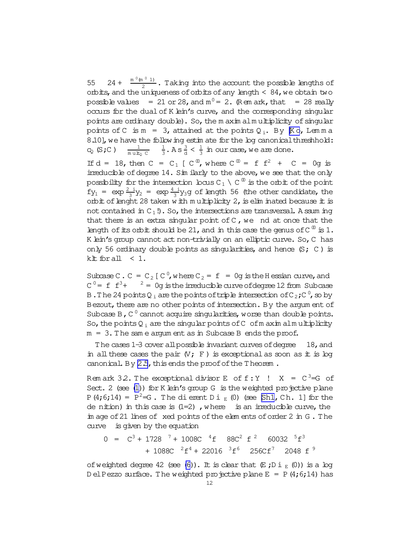55 24 +  $\frac{m^{0} (m^{0} 1)}{2}$  $\frac{1}{2}$ . Taking into the account the possible lengths of orbits, and the uniqueness of orbits of any length  $\leq 84$ , we obtain two possible values  $= 21$  or 28, and  $m^0 = 2$ . (Rem ark, that  $= 28$  really occurs for the dual of K lein's curve, and the corresponding singular points are ordinary double). So, the m axim alm ultiplicity of singular points of C is  $m = 3$ , attained at the points  $Q_i$ . By  $K \circ$ , Lemma 8.10], we have the following estim ate for the log canonical threshhold:  $C_{\mathbb{Q}}$  (S;C) 1 m ult<sub>Q</sub> C 1  $\frac{1}{3}$ . A s  $\frac{3}{d}$  <  $\frac{1}{3}$  $\frac{1}{3}$  in our case, we are done.

If  $d = 18$ , then  $C = C_1$  [  $C^{0}$ , where  $C^{0} = f f^2 + C = 0$ g is irreducible of degree 14. Sim ilarly to the above, we see that the only possibility for the intersection locus C  $_1 \setminus$  C  $^{\text{\textregistered}}$  is the orbit of the point  $fy_1 = \exp{\frac{2i}{3}y_2} = \exp{\frac{4i}{3}y_3}$ g of length 56 (the other candidate, the orbit of lenght 28 taken with m ultiplicity 2, is elim inated because it is not contained in  $C_1$ !). So, the intersections are transversal. A ssum ing that there is an extra singular point of  $C$ , we nd at once that the length of its orbit should be 21, and in this case the genus of  $C^{0}$  is 1. K lein's group cannot act non-trivially on an elliptic curve. So, C has only 56 ordinary double points as singularities, and hence  $(S; C)$  is klt for all  $< 1$ .

Subcase C. C =  $C_2$  [ C<sup>0</sup>, w here  $C_2 = f = 0$ g is the H essian curve, and  $C^0$  = f  $f^3$  +  $^2$  = 0g is the irreducible curve of degree 12 from Subcase B. The 24 points Q<sub>i</sub> are the points of triple intersection of C<sub>2</sub>; C<sup>0</sup>, so by Bezout, there are no other points of intersection. By the argum ent of Subcase B,  $C^0$  cannot acquire singularities, worse than double points. So, the points  $Q_i$  are the singular points of C of m axim alm ultiplicity  $m = 3$ . The sam e argum ent as in Subcase B ends the proof.

The cases  $1-3$  cover all possible invariant curves of degree  $18$ , and in all these cases the pair  $(V;F)$  is exceptional as soon as it is log canonical. By  $2.5$ , this ends the proof of the Theorem.

Rem ark 32. The exceptional divisor E of  $f:Y$  !  $X = C^3 = G$  of Sect. 2 (see  $(1)$ ) for K lein's group G is the weighted projective plane P(4;6;14) =  $P^2 = G$ . The dierent Di<sub>E</sub>(0) (see [\[Sh1](#page-12-0), Ch. 1] for the de nition) in this case is  $(1=2)$ , where is an irreducible curve, the im age of 21 lines of xed points of the elem ents of order 2 in G. The curve is given by the equation

$$
0 = C3 + 17287 + 1008C4f 88C2 f2 600325f3 + 1088C2f4 + 220163f6 256Cf7 2048 f9
$$

of weighted degree 42 (see [\(6\)](#page-9-0)). It is clear that  $(E_j D i_E (0))$  is a log D el Pezzo surface. The weighted projective plane  $E = P(4;6;14)$  has